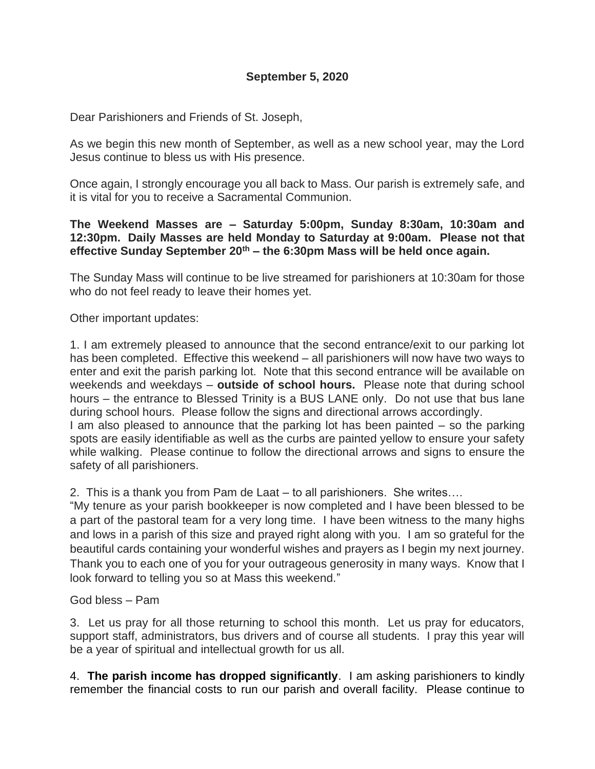# **September 5, 2020**

Dear Parishioners and Friends of St. Joseph,

As we begin this new month of September, as well as a new school year, may the Lord Jesus continue to bless us with His presence.

Once again, I strongly encourage you all back to Mass. Our parish is extremely safe, and it is vital for you to receive a Sacramental Communion.

# **The Weekend Masses are – Saturday 5:00pm, Sunday 8:30am, 10:30am and 12:30pm. Daily Masses are held Monday to Saturday at 9:00am. Please not that effective Sunday September 20th – the 6:30pm Mass will be held once again.**

The Sunday Mass will continue to be live streamed for parishioners at 10:30am for those who do not feel ready to leave their homes yet.

Other important updates:

1. I am extremely pleased to announce that the second entrance/exit to our parking lot has been completed. Effective this weekend – all parishioners will now have two ways to enter and exit the parish parking lot. Note that this second entrance will be available on weekends and weekdays – **outside of school hours.** Please note that during school hours – the entrance to Blessed Trinity is a BUS LANE only. Do not use that bus lane during school hours. Please follow the signs and directional arrows accordingly. I am also pleased to announce that the parking lot has been painted – so the parking spots are easily identifiable as well as the curbs are painted yellow to ensure your safety while walking. Please continue to follow the directional arrows and signs to ensure the safety of all parishioners.

2. This is a thank you from Pam de Laat – to all parishioners. She writes….

"My tenure as your parish bookkeeper is now completed and I have been blessed to be a part of the pastoral team for a very long time. I have been witness to the many highs and lows in a parish of this size and prayed right along with you. I am so grateful for the beautiful cards containing your wonderful wishes and prayers as I begin my next journey. Thank you to each one of you for your outrageous generosity in many ways. Know that I look forward to telling you so at Mass this weekend."

### God bless – Pam

3. Let us pray for all those returning to school this month. Let us pray for educators, support staff, administrators, bus drivers and of course all students. I pray this year will be a year of spiritual and intellectual growth for us all.

4. **The parish income has dropped significantly**. I am asking parishioners to kindly remember the financial costs to run our parish and overall facility. Please continue to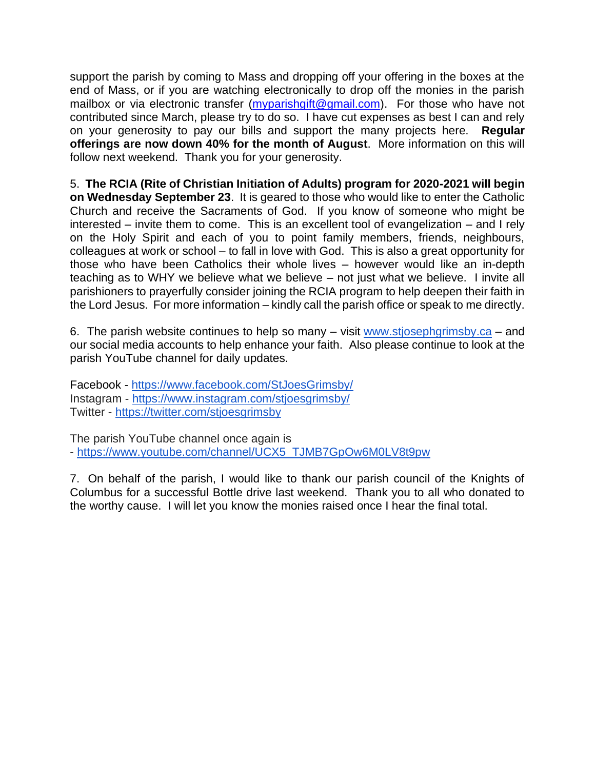support the parish by coming to Mass and dropping off your offering in the boxes at the end of Mass, or if you are watching electronically to drop off the monies in the parish mailbox or via electronic transfer [\(myparishgift@gmail.com\)](mailto:myparishgift@gmail.com). For those who have not contributed since March, please try to do so. I have cut expenses as best I can and rely on your generosity to pay our bills and support the many projects here. **Regular offerings are now down 40% for the month of August**. More information on this will follow next weekend. Thank you for your generosity.

5. **The RCIA (Rite of Christian Initiation of Adults) program for 2020-2021 will begin on Wednesday September 23**. It is geared to those who would like to enter the Catholic Church and receive the Sacraments of God. If you know of someone who might be interested – invite them to come. This is an excellent tool of evangelization – and I rely on the Holy Spirit and each of you to point family members, friends, neighbours, colleagues at work or school – to fall in love with God. This is also a great opportunity for those who have been Catholics their whole lives – however would like an in-depth teaching as to WHY we believe what we believe – not just what we believe. I invite all parishioners to prayerfully consider joining the RCIA program to help deepen their faith in the Lord Jesus. For more information – kindly call the parish office or speak to me directly.

6. The parish website continues to help so many – visit [www.stjosephgrimsby.ca](http://www.stjosephgrimsby.ca/) – and our social media accounts to help enhance your faith. Also please continue to look at the parish YouTube channel for daily updates.

Facebook - <https://www.facebook.com/StJoesGrimsby/> Instagram - <https://www.instagram.com/stjoesgrimsby/> Twitter - <https://twitter.com/stjoesgrimsby>

The parish YouTube channel once again is - [https://www.youtube.com/channel/UCX5\\_TJMB7GpOw6M0LV8t9pw](https://www.youtube.com/channel/UCX5_TJMB7GpOw6M0LV8t9pw)

7. On behalf of the parish, I would like to thank our parish council of the Knights of Columbus for a successful Bottle drive last weekend. Thank you to all who donated to the worthy cause. I will let you know the monies raised once I hear the final total.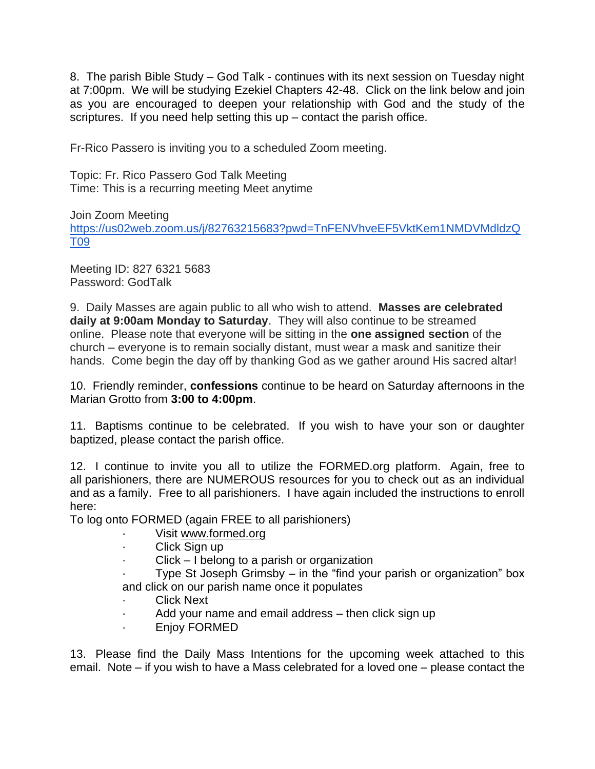8. The parish Bible Study – God Talk - continues with its next session on Tuesday night at 7:00pm. We will be studying Ezekiel Chapters 42-48. Click on the link below and join as you are encouraged to deepen your relationship with God and the study of the scriptures. If you need help setting this  $up$  – contact the parish office.

Fr-Rico Passero is inviting you to a scheduled Zoom meeting.

Topic: Fr. Rico Passero God Talk Meeting Time: This is a recurring meeting Meet anytime

Join Zoom Meeting [https://us02web.zoom.us/j/82763215683?pwd=TnFENVhveEF5VktKem1NMDVMdldzQ](https://us02web.zoom.us/j/82763215683?pwd=TnFENVhveEF5VktKem1NMDVMdldzQT09) [T09](https://us02web.zoom.us/j/82763215683?pwd=TnFENVhveEF5VktKem1NMDVMdldzQT09)

Meeting ID: 827 6321 5683 Password: GodTalk

9. Daily Masses are again public to all who wish to attend. **Masses are celebrated daily at 9:00am Monday to Saturday**. They will also continue to be streamed online. Please note that everyone will be sitting in the **one assigned section** of the church – everyone is to remain socially distant, must wear a mask and sanitize their hands. Come begin the day off by thanking God as we gather around His sacred altar!

10. Friendly reminder, **confessions** continue to be heard on Saturday afternoons in the Marian Grotto from **3:00 to 4:00pm**.

11. Baptisms continue to be celebrated. If you wish to have your son or daughter baptized, please contact the parish office.

12. I continue to invite you all to utilize the FORMED.org platform. Again, free to all parishioners, there are NUMEROUS resources for you to check out as an individual and as a family. Free to all parishioners. I have again included the instructions to enroll here:

To log onto FORMED (again FREE to all parishioners)

- Visit [www.formed.org](http://www.formed.org/)
- Click Sign up
- $Click I belong to a parish or organization$

Type St Joseph Grimsby – in the "find your parish or organization" box and click on our parish name once it populates

- **Click Next**
- Add your name and email address then click sign up
- · Enjoy FORMED

13. Please find the Daily Mass Intentions for the upcoming week attached to this email. Note – if you wish to have a Mass celebrated for a loved one – please contact the